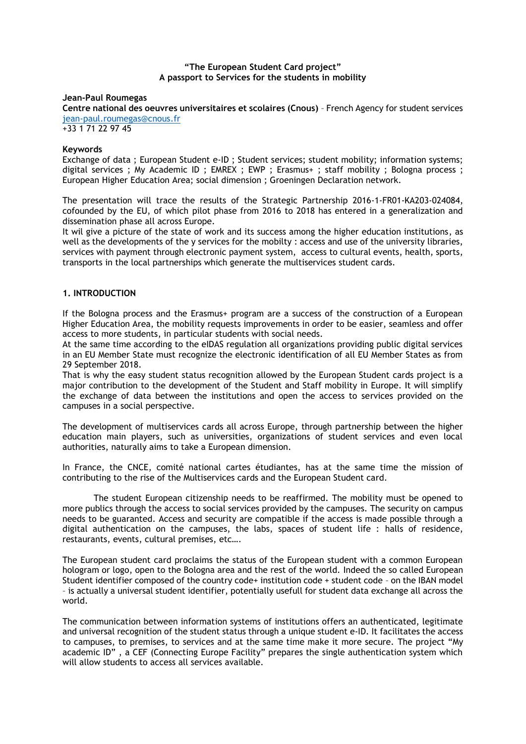#### **"The European Student Card project" A passport to Services for the students in mobility**

#### **Jean-Paul Roumegas**

**Centre national des oeuvres universitaires et scolaires (Cnous)** – French Agency for student services [jean-paul.roumegas@cnous.fr](mailto:jean-paul.roumegas@cnous.fr)

+33 1 71 22 97 45

## **Keywords**

Exchange of data ; European Student e-ID ; Student services; student mobility; information systems; digital services ; My Academic ID ; EMREX ; EWP ; Erasmus+ ; staff mobility ; Bologna process ; European Higher Education Area; social dimension ; Groeningen Declaration network.

The presentation will trace the results of the Strategic Partnership 2016-1-FR01-KA203-024084, cofounded by the EU, of which pilot phase from 2016 to 2018 has entered in a generalization and dissemination phase all across Europe.

It wil give a picture of the state of work and its success among the higher education institutions, as well as the developments of the y services for the mobilty : access and use of the university libraries, services with payment through electronic payment system, access to cultural events, health, sports, transports in the local partnerships which generate the multiservices student cards.

### **1. INTRODUCTION**

If the Bologna process and the Erasmus+ program are a success of the construction of a European Higher Education Area, the mobility requests improvements in order to be easier, seamless and offer access to more students, in particular students with social needs.

At the same time according to the eIDAS regulation all organizations providing public digital services in an EU Member State must recognize the electronic identification of all EU Member States as from 29 September 2018.

That is why the easy student status recognition allowed by the European Student cards project is a major contribution to the development of the Student and Staff mobility in Europe. It will simplify the exchange of data between the institutions and open the access to services provided on the campuses in a social perspective.

The development of multiservices cards all across Europe, through partnership between the higher education main players, such as universities, organizations of student services and even local authorities, naturally aims to take a European dimension.

In France, the CNCE, comité national cartes étudiantes, has at the same time the mission of contributing to the rise of the Multiservices cards and the European Student card.

The student European citizenship needs to be reaffirmed. The mobility must be opened to more publics through the access to social services provided by the campuses. The security on campus needs to be guaranted. Access and security are compatible if the access is made possible through a digital authentication on the campuses, the labs, spaces of student life : halls of residence, restaurants, events, cultural premises, etc….

The European student card proclaims the status of the European student with a common European hologram or logo, open to the Bologna area and the rest of the world. Indeed the so called European Student identifier composed of the country code+ institution code + student code – on the IBAN model – is actually a universal student identifier, potentially usefull for student data exchange all across the world.

The communication between information systems of institutions offers an authenticated, legitimate and universal recognition of the student status through a unique student e-ID. It facilitates the access to campuses, to premises, to services and at the same time make it more secure. The project "My academic ID" , a CEF (Connecting Europe Facility" prepares the single authentication system which will allow students to access all services available.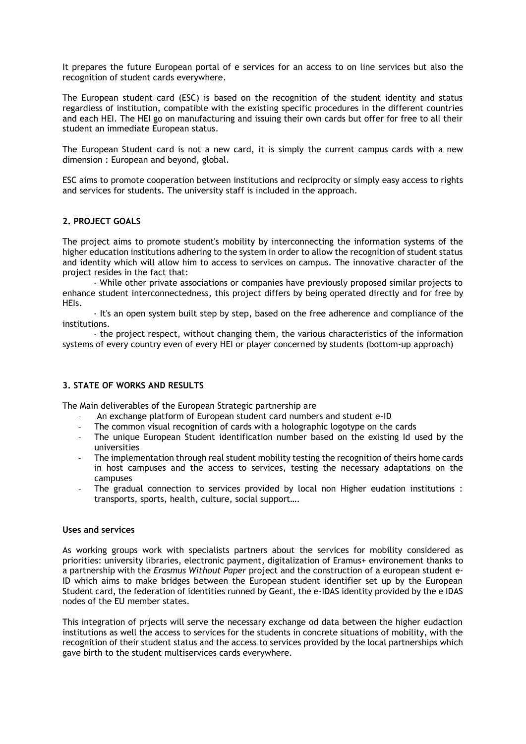It prepares the future European portal of e services for an access to on line services but also the recognition of student cards everywhere.

The European student card (ESC) is based on the recognition of the student identity and status regardless of institution, compatible with the existing specific procedures in the different countries and each HEI. The HEI go on manufacturing and issuing their own cards but offer for free to all their student an immediate European status.

The European Student card is not a new card, it is simply the current campus cards with a new dimension : European and beyond, global.

ESC aims to promote cooperation between institutions and reciprocity or simply easy access to rights and services for students. The university staff is included in the approach.

### **2. PROJECT GOALS**

The project aims to promote student's mobility by interconnecting the information systems of the higher education institutions adhering to the system in order to allow the recognition of student status and identity which will allow him to access to services on campus. The innovative character of the project resides in the fact that:

- While other private associations or companies have previously proposed similar projects to enhance student interconnectedness, this project differs by being operated directly and for free by HEIs.

- It's an open system built step by step, based on the free adherence and compliance of the institutions.

- the project respect, without changing them, the various characteristics of the information systems of every country even of every HEI or player concerned by students (bottom-up approach)

# **3. STATE OF WORKS AND RESULTS**

The Main deliverables of the European Strategic partnership are

- An exchange platform of European student card numbers and student e-ID
- The common visual recognition of cards with a holographic logotype on the cards
- The unique European Student identification number based on the existing Id used by the universities
- The implementation through real student mobility testing the recognition of theirs home cards in host campuses and the access to services, testing the necessary adaptations on the campuses
- The gradual connection to services provided by local non Higher eudation institutions : transports, sports, health, culture, social support….

## **Uses and services**

As working groups work with specialists partners about the services for mobility considered as priorities: university libraries, electronic payment, digitalization of Eramus+ environement thanks to a partnership with the *Erasmus Without Paper* project and the construction of a european student e-ID which aims to make bridges between the European student identifier set up by the European Student card, the federation of identities runned by Geant, the e-IDAS identity provided by the e IDAS nodes of the EU member states.

This integration of prjects will serve the necessary exchange od data between the higher eudaction institutions as well the access to services for the students in concrete situations of mobility, with the recognition of their student status and the access to services provided by the local partnerships which gave birth to the student multiservices cards everywhere.